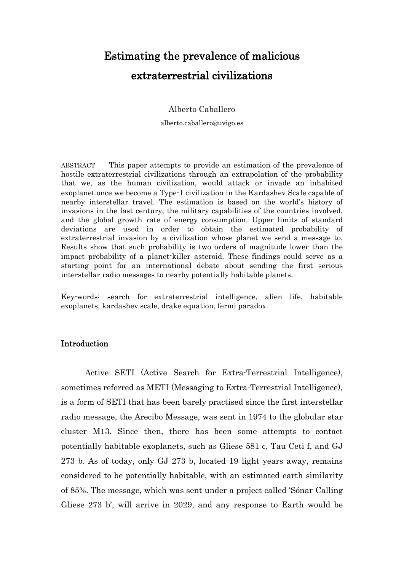# Estimating the prevalence of malicious extraterrestrial civilizations

Alberto Caballero

alberto.caballero@uvigo.es

ABSTRACT This paper attempts to provide an estimation of the prevalence of hostile extraterrestrial civilizations through an extrapolation of the probability that we, as the human civilization, would attack or invade an inhabited exoplanet once we become a Type-1 civilization in the Kardashev Scale capable of nearby interstellar travel. The estimation is based on theworld's history of invasions in the last century, the military capabilities of the countries involved, and the global growth rate of energy consumption. Upper limits of standard deviations are used in order to obtain the estimated probability of extraterrestrial invasion by a civilization whose planet we send a message to. Results show that such probability is two orders of magnitude lower than the impact probability of a planet-killer asteroid. These findings could serve as a starting point for an international debate about sending the first serious interstellar radio messages to nearby potentially habitable planets.

Key-words: search for extraterrestrial intelligence, alien life, habitable exoplanets, kardashev scale, drake equation, fermi paradox.

# Introduction

Active SETI (Active Search for Extra-Terrestrial Intelligence), sometimes referred as METI (Messaging to Extra-Terrestrial Intelligence), is a form of SETI that has been barely practised since the first interstellar radio message, the Arecibo Message, was sent in 1974 to the globular star cluster M13. Since then, there has been some attempts to contact potentially habitable exoplanets, such as Gliese 581 c, Tau Ceti f, and GJ 273 b. As of today, only GJ 273 b, located 19 light years away, remains considered to be potentially habitable, with an estimated earth similarity of 85%. The message, which was sent under a project called 'Sónar Calling Gliese 273 b', will arrive in 2029, and any response to Earth would be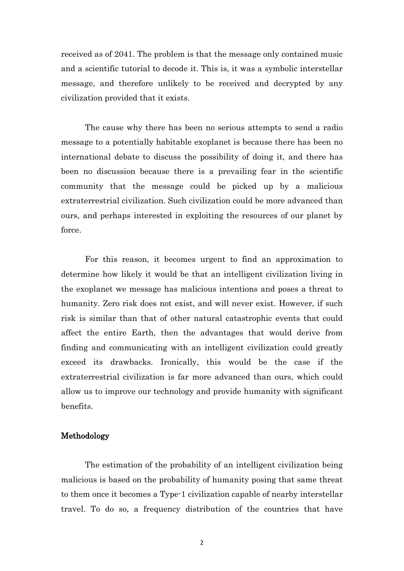received as of 2041. The problem is that the message only contained music and a scientific tutorial to decode it. This is, it was a symbolic interstellar message, and therefore unlikely to be received and decrypted by any civilization provided that it exists.

The cause why there has been no serious attempts to send a radio message to a potentially habitable exoplanet is because there has been no international debate to discuss the possibility of doing it, and there has been no discussion because there is a prevailing fear in the scientific community that the message could be picked up by a malicious extraterrestrial civilization. Such civilization could be more advanced than ours, and perhaps interested in exploiting the resources of our planet by force.

For this reason, it becomes urgent to find an approximation to determine how likely it would be that an intelligent civilization living in the exoplanet we message has malicious intentions and poses a threat to humanity. Zero risk does not exist, and will never exist. However, if such risk is similar than that of other natural catastrophic events that could affect the entire Earth, then theadvantages that would derive from finding and communicating with an intelligent civilization could greatly exceed its drawbacks. Ironically, this would be the case if the extraterrestrial civilization is far more advanced than ours, which could allow us to improve our technology and provide humanity with significant benefits.

## Methodology

The estimation of the probability of an intelligent civilization being malicious is based on the probability of humanity posing that same threat to them once it becomes a Type-1 civilization capable of nearby interstellar travel. To do so, a frequency distribution of the countries that have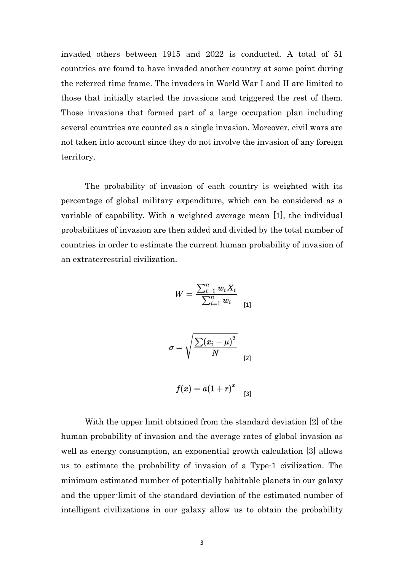invaded others between 1915 and 2022 is conducted. A total of 51 countries are found to have invaded another country at some point during the referred time frame. The invaders in World War Iand II are limited to those that initially started the invasions and triggered the rest of them. Those invasions that formed part of a large occupation plan including several countries are counted as a single invasion. Moreover, civil wars are not taken into account since they do not involve the invasion of any foreign territory.

The probability of invasion of each country is weighted with its percentage of global military expenditure, which can be considered as a variable of capability. With a weighted average mean [1], the individual probabilities of invasion are then added and divided by the total number of countries in order to estimate the current human probability of invasion of an extraterrestrial civilization.

$$
W = \frac{\sum_{i=1}^n w_i X_i}{\sum_{i=1}^n w_i} \quad_{[1]}
$$

$$
\sigma = \sqrt{\frac{\sum (x_i - \mu)^2}{N}}_{[2]}
$$

$$
f(x)=a(1+r)^x\quad \quad \text{[3]}
$$

With the upper limit obtained from the standard deviation [2] of the human probability of invasion and the average rates of global invasion as well as energy consumption, an exponential growth calculation [3] allows us to estimate the probability of invasion of a Type-1 civilization. The minimum estimated number of potentially habitable planets in our galaxy and the upper-limit of the standard deviation of the estimated number of intelligent civilizations in our galaxy allow us to obtain the probability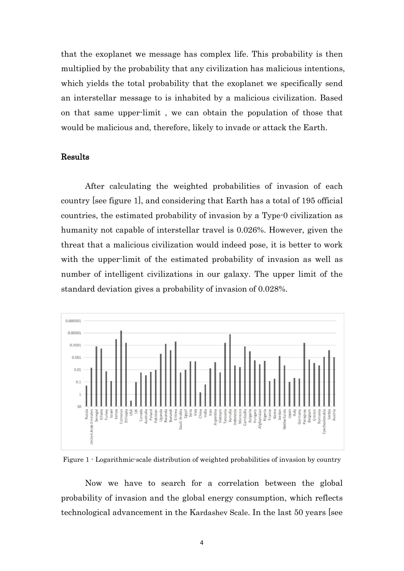that the exoplanet we message has complex life. This probability is then multiplied by the probability that any civilization has malicious intentions, which yields the total probability that the exoplanet we specifically send an interstellar message to is inhabited by a malicious civilization. Based on that same upper-limit , we can obtain the population of those that would be malicious and, therefore, likely to invade or attack the Earth.

### Results

After calculating the weighted probabilities of invasion of each country [see figure 1], and considering that Earth has a total of 195 official countries, the estimated probability of invasion bya Type-0 civilization as humanity not capable of interstellar travel is 0.026%. However, given the threat that a malicious civilization would indeed pose, it is better to work with the upper-limit of the estimated probability of invasion as well as number of intelligent civilizations in our galaxy. The upper limit of the standard deviation gives a probability of invasion of 0.028%.



Figure 1 - Logarithmic-scale distribution of weighted probabilities of invasion bycountry

Now we have to search for a correlation between the global probability of invasion and the global energy consumption, which reflects technological advancement in the Kardashev Scale. In the last 50 years [see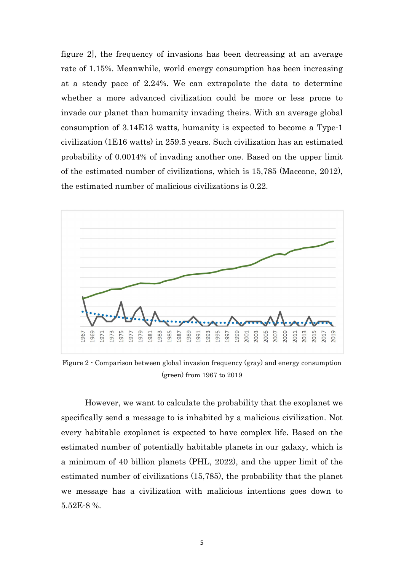figure 2], the frequency of invasions has been decreasing at an average rate of 1.15%. Meanwhile, world energy consumption has been increasing at a steady pace of 2.24%. We can extrapolate the data to determine whether a more advanced civilization could be more or less prone to invade our planet than humanity invading theirs. With an average global consumption of 3.14E13 watts, humanity is expected to become a Type-1 civilization (1E16 watts) in 259.5 years. Such civilization has an estimated probability of 0.0014% of invadinganother one. Based on the upper limit of the estimated number of civilizations, which is 15,785 (Maccone, 2012), the estimated number of malicious civilizations is 0.22.



Figure 2 - Comparison between global invasion frequency (gray) and energy consumption (green) from 1967 to 2019

However, we want to calculate the probability that the exoplanet we specifically send a message to is inhabited by a malicious civilization. Not every habitable exoplanet is expected to have complex life. Based on the estimated number of potentially habitable planets in our galaxy, which is a minimum of 40 billion planets (PHL, 2022), and the upper limit of the estimated number of civilizations (15,785), the probability that the planet we message has a civilization with malicious intentions goes down to 5.52E-8 %.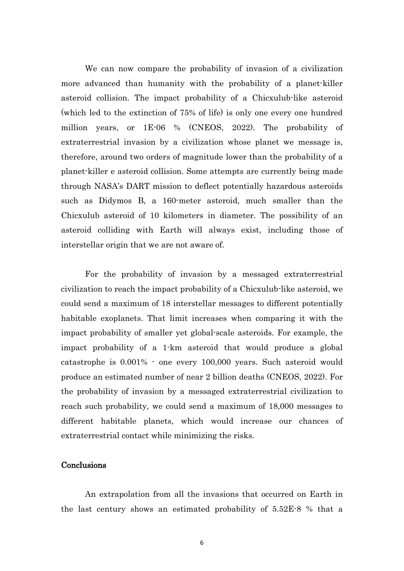We can now compare the probability of invasion of a civilization more advanced than humanity with the probability of a planet-killer asteroid collision. The impact probability of a Chicxulub-like asteroid (which led to the extinction of 75% of life) is only one every one hundred million years, or 1E-06 % (CNEOS, 2022). The probability of extraterrestrial invasion by a civilization whose planet we message is, therefore, around two orders of magnitude lower than the probability of a planet-killer e asteroid collision. Some attempts are currently being made through NASA's DART mission to deflect potentially hazardous asteroids such as Didymos B, a 160-meter asteroid, much smaller than the Chicxulub asteroid of 10 kilometers in diameter. The possibility of an asteroid colliding with Earth will always exist, including those of interstellar origin that we are not aware of.

For the probability of invasion by a messaged extraterrestrial civilization to reach the impact probability of a Chicxulub-like asteroid, we could send a maximum of 18 interstellar messages to different potentially habitable exoplanets. That limit increases when comparing it with the impact probability of smaller yet global-scale asteroids. For example, the impact probability of a 1-km asteroid that would produce a global catastrophe is 0.001% - one every 100,000 years. Such asteroid would produce an estimated number of near 2 billion deaths (CNEOS, 2022). For the probability of invasion by a messaged extraterrestrial civilization to reach such probability, we could send a maximum of 18,000 messages to different habitable planets, which would increase our chances of extraterrestrial contact while minimizing the risks.

# **Conclusions**

An extrapolation from all the invasions that occurred on Earth in the last century shows an estimated probability of 5.52E-8 % that a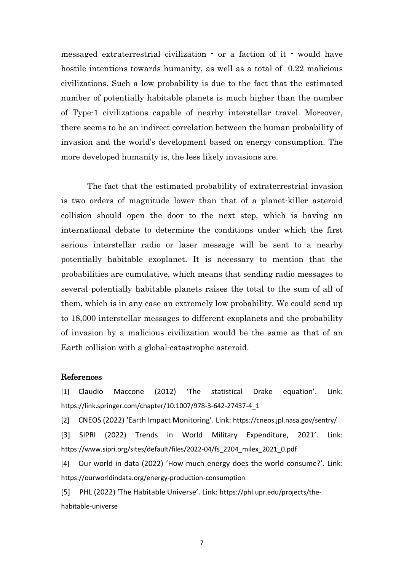messaged extraterrestrial civilization - or a faction of it - would have hostile intentions towards humanity, as well as a total of 0.22 malicious civilizations. Such a low probability is due to the fact that the estimated number of potentially habitable planets is much higher than the number of Type-1 civilizations capable of nearby interstellar travel. Moreover, there seems to be an indirect correlation between the human probability of invasion and the world's development based on energy consumption. The more developed humanity is, the less likely invasions are.

The fact that the estimated probability of extraterrestrial invasion is two orders of magnitude lower than that of a planet-killer asteroid collision should open thedoor to the next step, which is having an international debate to determine the conditions under which the first serious interstellar radio or laser message will be sent to a nearby potentially habitable exoplanet. It is necessary to mention that the probabilities are cumulative, which means that sending radio messages to several potentially habitable planets raises the total to the sum of all of them, which is in any case an extremely low probability. We could send up to 18,000 interstellar messages to different exoplanets and the probability of invasion by a malicious civilization would be the same as that of an Earth collision with a global-catastrophe asteroid.

#### References

[1] Claudio Maccone (2012) 'The statistical Drake equation'. Link: https://link.springer.com/chapter/10.1007/978-3-642-27437-4\_1

[2] CNEOS (2022) 'Earth Impact Monitoring'. Link: https://cneos.jpl.nasa.gov/sentry/

[3] SIPRI (2022) Trends in World Military Expenditure, 2021'. Link: https://www.sipri.org/sites/default/files/2022-04/fs\_2204\_milex\_2021\_0.pdf

[4] Our world in data (2022) 'How much energy does the world consume?'. Link: https://ourworldindata.org/energy-production-consumption

[5] PHL (2022) 'The Habitable Universe'. Link: https://phl.upr.edu/projects/the habitable-universe

7